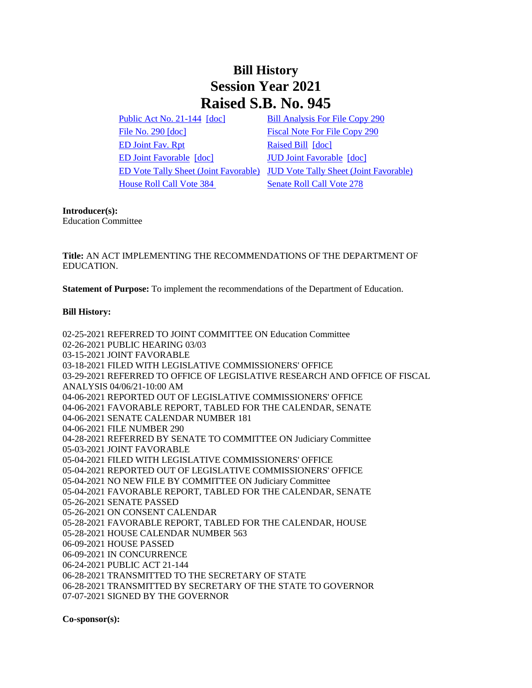## **Bill History Session Year 2021 Raised S.B. No. 945**

[Public Act No. 21-144](/2021/ACT/PA/PDF/2021PA-00144-R00SB-00945-PA.PDF) [\[doc\]](https://search.cga.state.ct.us/dl2021/PA/DOC/2021PA-00144-R00SB-00945-PA.DOCX) [Bill Analysis For File Copy 290](/2021/BA/PDF/2021SB-00945-R000290-BA.PDF) [File No. 290](/2021/FC/PDF/2021SB-00945-R000290-FC.PDF) [\[doc\]](/2021/FC/PDF/2021SB-00945-R000290-FC.PDF) [Fiscal Note For File Copy 290](/2021/FN/PDF/2021SB-00945-R000290-FN.PDF) [ED Joint Fav. Rpt](/2021/JFR/S/PDF/2021SB-00945-R00ED-JFR.PDF) [Raised Bill](/2021/TOB/S/PDF/2021SB-00945-R00-SB.PDF) [\[doc\]](https://search.cga.state.ct.us/dl2021/TOB/DOC/2021SB-00945-R00-SB.DOCX) [ED Joint Favorable](/2021/TOB/S/PDF/2021SB-00945-R01-SB.PDF) [\[doc\]](https://search.cga.state.ct.us/dl2021/TOB/DOC/2021SB-00945-R02-SB.DOCX) [JUD Joint Favorable](/2021/TOB/S/PDF/2021SB-00945-R02-SB.PDF) [doc] [House Roll Call Vote 384](/2021/VOTE/H/PDF/2021HV-00384-R00SB00945-HV.PDF) [Senate Roll Call Vote 278](/2021/VOTE/S/PDF/2021SV-00278-R00SB00945-SV.PDF) 

[ED Vote Tally Sheet \(Joint Favorable\)](/2021/TS/S/PDF/2021SB-00945-R00ED-CV6-TS.PDF) [JUD Vote Tally Sheet \(Joint Favorable\)](/2021/TS/S/PDF/2021SB-00945-R00JUD-CV178-TS.PDF)

## **Introducer(s):**

Education Committee

**Title:** AN ACT IMPLEMENTING THE RECOMMENDATIONS OF THE DEPARTMENT OF EDUCATION.

**Statement of Purpose:** To implement the recommendations of the Department of Education.

## **Bill History:**

02-25-2021 REFERRED TO JOINT COMMITTEE ON Education Committee 02-26-2021 PUBLIC HEARING 03/03 03-15-2021 JOINT FAVORABLE 03-18-2021 FILED WITH LEGISLATIVE COMMISSIONERS' OFFICE 03-29-2021 REFERRED TO OFFICE OF LEGISLATIVE RESEARCH AND OFFICE OF FISCAL ANALYSIS 04/06/21-10:00 AM 04-06-2021 REPORTED OUT OF LEGISLATIVE COMMISSIONERS' OFFICE 04-06-2021 FAVORABLE REPORT, TABLED FOR THE CALENDAR, SENATE 04-06-2021 SENATE CALENDAR NUMBER 181 04-06-2021 FILE NUMBER 290 04-28-2021 REFERRED BY SENATE TO COMMITTEE ON Judiciary Committee 05-03-2021 JOINT FAVORABLE 05-04-2021 FILED WITH LEGISLATIVE COMMISSIONERS' OFFICE 05-04-2021 REPORTED OUT OF LEGISLATIVE COMMISSIONERS' OFFICE 05-04-2021 NO NEW FILE BY COMMITTEE ON Judiciary Committee 05-04-2021 FAVORABLE REPORT, TABLED FOR THE CALENDAR, SENATE 05-26-2021 SENATE PASSED 05-26-2021 ON CONSENT CALENDAR 05-28-2021 FAVORABLE REPORT, TABLED FOR THE CALENDAR, HOUSE 05-28-2021 HOUSE CALENDAR NUMBER 563 06-09-2021 HOUSE PASSED 06-09-2021 IN CONCURRENCE 06-24-2021 PUBLIC ACT 21-144 06-28-2021 TRANSMITTED TO THE SECRETARY OF STATE 06-28-2021 TRANSMITTED BY SECRETARY OF THE STATE TO GOVERNOR 07-07-2021 SIGNED BY THE GOVERNOR

**Co-sponsor(s):**